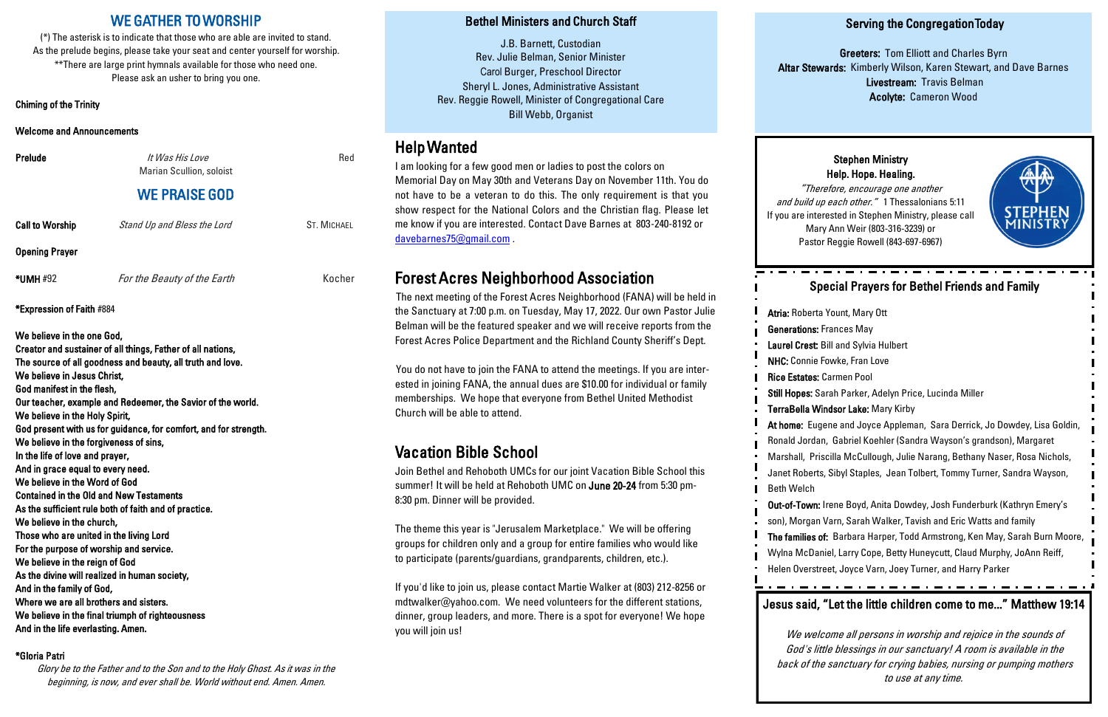## WE GATHER TO WORSHIP

(\*) The asterisk is to indicate that those who are able are invited to stand. As the prelude begins, please take your seat and center yourself for worship. \*\*There are large print hymnals available for those who need one. Please ask an usher to bring you one.

**Prelude** Red *It Was His Love* Marian Scullion, soloist WE PRAISE GOD Call to Worship Stand Up and Bless the Lord ST. MICHAEL Opening Prayer

\*UMH #92 For the Beauty of the Earth Kocher

Chiming of the Trinity

Welcome and Announcements

\*Expression of Faith #884

We believe in the one God, Creator and sustainer of all things, Father of all nations, The source of all goodness and beauty, all truth and love. We believe in Jesus Christ, God manifest in the flesh, Our teacher, example and Redeemer, the Savior of the world. We believe in the Holy Spirit, God present with us for guidance, for comfort, and for strength. We believe in the forgiveness of sins, In the life of love and prayer, And in grace equal to every need. We believe in the Word of God Contained in the Old and New Testaments As the sufficient rule both of faith and of practice. We believe in the church, Those who are united in the living Lord For the purpose of worship and service. We believe in the reign of God As the divine will realized in human society, And in the family of God, Where we are all brothers and sisters. We believe in the final triumph of righteousness And in the life everlasting. Amen.

#### \*Gloria Patri

Glory be to the Father and to the Son and to the Holy Ghost. As it was in the beginning, is now, and ever shall be. World without end. Amen. Amen.

#### Serving the Congregation Today

Greeters: Tom Elliott and Charles Byrn Altar Stewards: Kimberly Wilson, Karen Stewart, and Dave Barnes Livestream: Travis Belman Acolyte: Cameron Wood

### Bethel Ministers and Church Staff

J.B. Barnett, Custodian Rev. Julie Belman, Senior Minister Carol Burger, Preschool Director Sheryl L. Jones, Administrative Assistant Rev. Reggie Rowell, Minister of Congregational Care Bill Webb, Organist

## Help Wanted

I am looking for a few good men or ladies to post the colors on Memorial Day on May 30th and Veterans Day on November 11th. You do not have to be a veteran to do this. The only requirement is that you show respect for the National Colors and the Christian flag. Please let me know if you are interested. Contact Dave Barnes at 803-240-8192 or [davebarnes75@gmail.com](mailto:davebarnes75@gmail.com) .

# Forest Acres Neighborhood Association

The next meeting of the Forest Acres Neighborhood (FANA) will be held in the Sanctuary at 7:00 p.m. on Tuesday, May 17, 2022. Our own Pastor Julie Belman will be the featured speaker and we will receive reports from the Forest Acres Police Department and the Richland County Sheriff's Dept.

You do not have to join the FANA to attend the meetings. If you are interested in joining FANA, the annual dues are \$10.00 for individual or family memberships. We hope that everyone from Bethel United Methodist Church will be able to attend.

# Vacation Bible School

Join Bethel and Rehoboth UMCs for our joint Vacation Bible School this summer! It will be held at Rehoboth UMC on June 20-24 from 5:30 pm-8:30 pm. Dinner will be provided.

The theme this year is "Jerusalem Marketplace." We will be offering groups for children only and a group for entire families who would like to participate (parents/guardians, grandparents, children, etc.).

If you'd like to join us, please contact Martie Walker at (803) 212-8256 or mdtwalker@yahoo.com. We need volunteers for the different stations, dinner, group leaders, and more. There is a spot for everyone! We hope you will join us!

## Special Prayers for Bethel Friends and Family

Atria: Roberta Yount, Mary Ott Generations: Frances May Laurel Crest: Bill and Sylvia Hulbert NHC: Connie Fowke, Fran Love Rice Estates: Carmen Pool Still Hopes: Sarah Parker, Adelyn Price, Lucinda Miller TerraBella Windsor Lake: Mary Kirby At home: Eugene and Joyce Appleman, Sara Derrick, Jo Dowdey, Lisa Goldin, Ronald Jordan, Gabriel Koehler (Sandra Wayson's grandson), Margaret Marshall, Priscilla McCullough, Julie Narang, Bethany Naser, Rosa Nichols, Janet Roberts, Sibyl Staples, Jean Tolbert, Tommy Turner, Sandra Wayson, Beth Welch Out-of-Town: Irene Boyd, Anita Dowdey, Josh Funderburk (Kathryn Emery's

son), Morgan Varn, Sarah Walker, Tavish and Eric Watts and family The families of: Barbara Harper, Todd Armstrong, Ken May, Sarah Burn Moore, Wylna McDaniel, Larry Cope, Betty Huneycutt, Claud Murphy, JoAnn Reiff, Helen Overstreet, Joyce Varn, Joey Turner, and Harry Parker

#### Stephen Ministry Help. Hope. Healing.



"Therefore, encourage one another and build up each other." 1 Thessalonians 5:11 If you are interested in Stephen Ministry, please call Mary Ann Weir (803-316-3239) or Pastor Reggie Rowell (843-697-6967)

## Jesus said, "Let the little children come to me..." Matthew 19:14

We welcome all persons in worship and rejoice in the sounds of God's little blessings in our sanctuary! A room is available in the back of the sanctuary for crying babies, nursing or pumping mothers to use at any time.